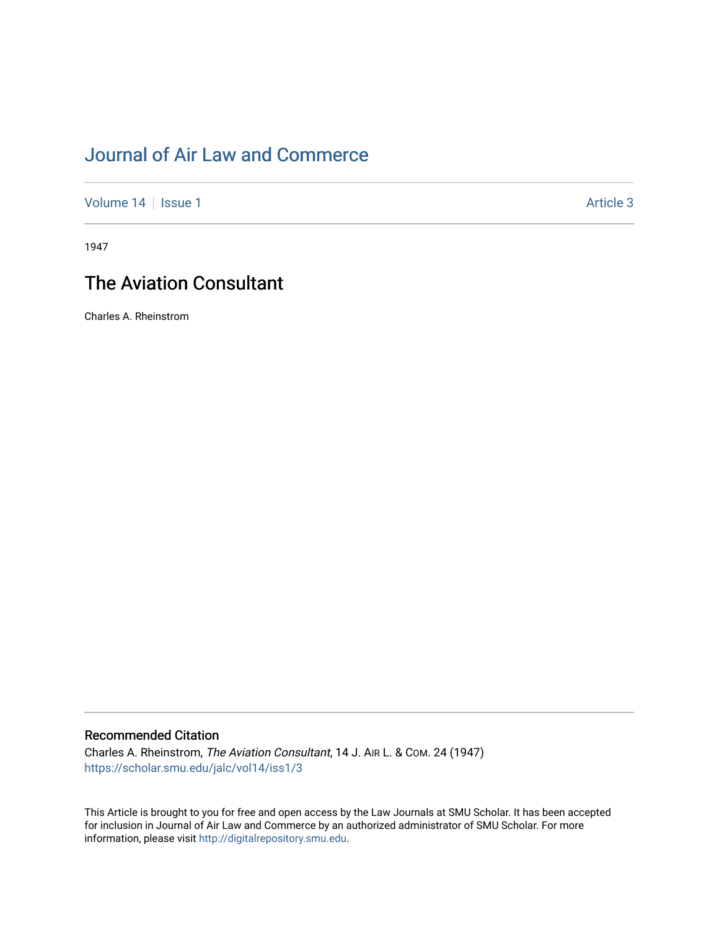# [Journal of Air Law and Commerce](https://scholar.smu.edu/jalc)

[Volume 14](https://scholar.smu.edu/jalc/vol14) | [Issue 1](https://scholar.smu.edu/jalc/vol14/iss1) Article 3

1947

# The Aviation Consultant

Charles A. Rheinstrom

## Recommended Citation

Charles A. Rheinstrom, The Aviation Consultant, 14 J. AIR L. & COM. 24 (1947) [https://scholar.smu.edu/jalc/vol14/iss1/3](https://scholar.smu.edu/jalc/vol14/iss1/3?utm_source=scholar.smu.edu%2Fjalc%2Fvol14%2Fiss1%2F3&utm_medium=PDF&utm_campaign=PDFCoverPages) 

This Article is brought to you for free and open access by the Law Journals at SMU Scholar. It has been accepted for inclusion in Journal of Air Law and Commerce by an authorized administrator of SMU Scholar. For more information, please visit [http://digitalrepository.smu.edu](http://digitalrepository.smu.edu/).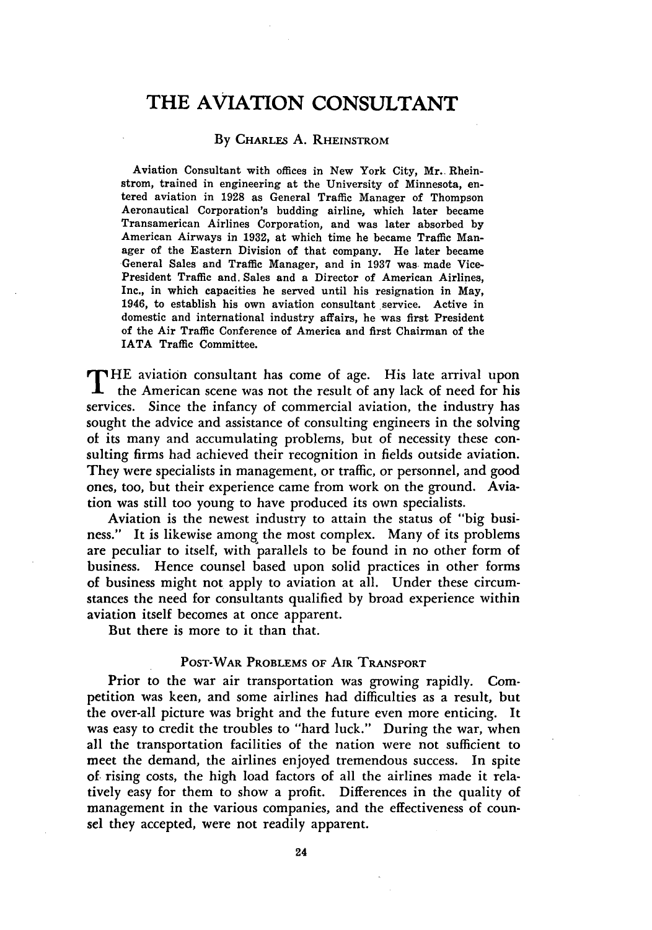# THE **AVIATION CONSULTANT**

#### By CHARLES A. RHEINSTROM

Aviation Consultant with offices in New York City, Mr.. Rheinstrom, trained in engineering at the University of Minnesota, entered aviation in **1928** as General Traffic Manager of Thompson Aeronautical Corporation's budding airline, which later became Transamerican Airlines Corporation, and was later absorbed **by** American Airways in **1932,** at which time he became Traffic Manager of the Eastern Division of that company. He later became General Sales and Traffic Manager, and in **1937** was, made Vice-President Traffic and. Sales and a Director of American Airlines, Inc., in which capacities he served until his resignation in May, 1946, to establish his own aviation consultant service. Active in domestic and international industry affairs, he was first President of the Air Traffic Conference of America and first Chairman of the IATA Traffic Committee.

THE aviation consultant has come of age. His late arrival upon the American scene was not the result of any lack of need for his services. Since the infancy of commercial aviation, the industry has sought the advice and assistance of consulting engineers in the solving of its many and accumulating problems, but of necessity these consulting firms had achieved their recognition in fields outside aviation. They were specialists in management, or traffic, or personnel, and good ones, too, but their experience came from work on the ground. Aviation was still too young to have produced its own specialists.

Aviation is the newest industry to attain the status of "big business." It is likewise among the most complex. Many of its problems are peculiar to itself, with parallels to be found in no other form of business. Hence counsel based upon solid practices in other forms of business might not apply to aviation at all. Under these circumstances the need for consultants qualified **by** broad experience within aviation itself becomes at once apparent.

But there is more to it than that.

#### POST-WAR PROBLEMS OF AIR TRANSPORT

Prior to the war air transportation was growing rapidly. Competition was keen, and some airlines had difficulties as a result, but the over-all picture was bright and the future even more enticing. It was easy to credit the troubles to "hard luck." During the war, when all the transportation facilities of the nation were not sufficient to meet the demand, the airlines enjoyed tremendous success. In spite of rising costs, the high load factors of all the airlines made it relatively easy for them to show a profit. Differences in the quality of management in the various companies, and the effectiveness of counsel they accepted, were not readily apparent.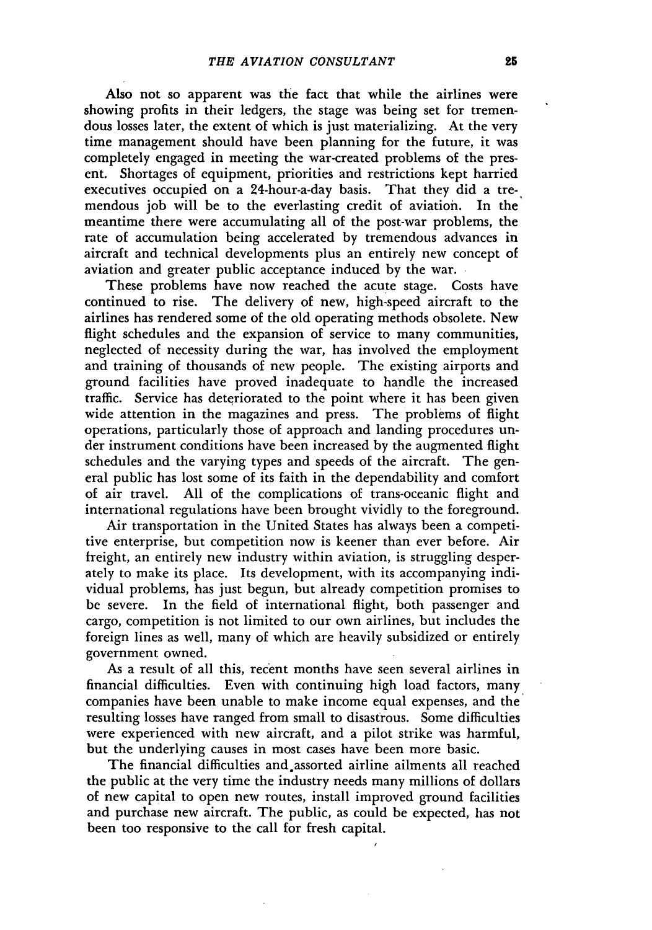Also not so apparent was the fact that while the airlines were showing profits in their ledgers, the stage was being set for tremendous losses later, the extent of which is just materializing. At the very time management should have been planning for the future, it was completely engaged in meeting the war-created problems of the present. Shortages of equipment, priorities and restrictions kept harried executives occupied on a 24-hour-a-day basis. That they did a tremendous job will be to the everlasting credit of aviation. In the meantime there were accumulating all of the post-war problems, the rate of accumulation being accelerated by tremendous advances in aircraft and technical developments plus an entirely new concept of aviation and greater public acceptance induced by the war.

These problems have now reached the acute stage. Costs have continued to rise. The delivery of new, high-speed aircraft to the airlines has rendered some of the old operating methods obsolete. New flight schedules and the expansion of service to many communities, neglected of necessity during the war, has involved the employment and training of thousands of new people. The existing airports and ground facilities have proved inadequate to handle the increased traffic. Service has deteriorated to the point where it has been given wide attention in the magazines and press. The problems of flight operations, particularly those of approach and landing procedures under instrument conditions have been increased by the augmented flight schedules and the varying types and speeds of the aircraft. The general public has lost some of its faith in the dependability and comfort of air travel. All of the complications of trans-oceanic flight and international regulations have been brought vividly to the foreground.

Air transportation in the United States has always been a competitive enterprise, but competition now is keener than ever before. Air freight, an entirely new industry within aviation, is struggling desperately to make its place. Its development, with its accompanying individual problems, has just begun, but already competition promises to be severe. In the field of international flight, both passenger and cargo, competition is not limited to our own airlines, but includes the foreign lines as well, many of which are heavily subsidized or entirely government owned.

As a result of all this, recent months have seen several airlines in financial difficulties. Even with continuing high load factors, many companies have been unable to make income equal expenses, and the resulting losses have ranged from small to disastrous. Some difficulties were experienced with new aircraft, and a pilot strike was harmful, but the underlying causes in most cases have been more basic.

The financial difficulties and.assorted airline ailments all reached the public at the very time the industry needs many millions of dollars of new capital to open new routes, install improved ground facilities and purchase new aircraft. The public, as could be expected, has not been too responsive to the call for fresh capital.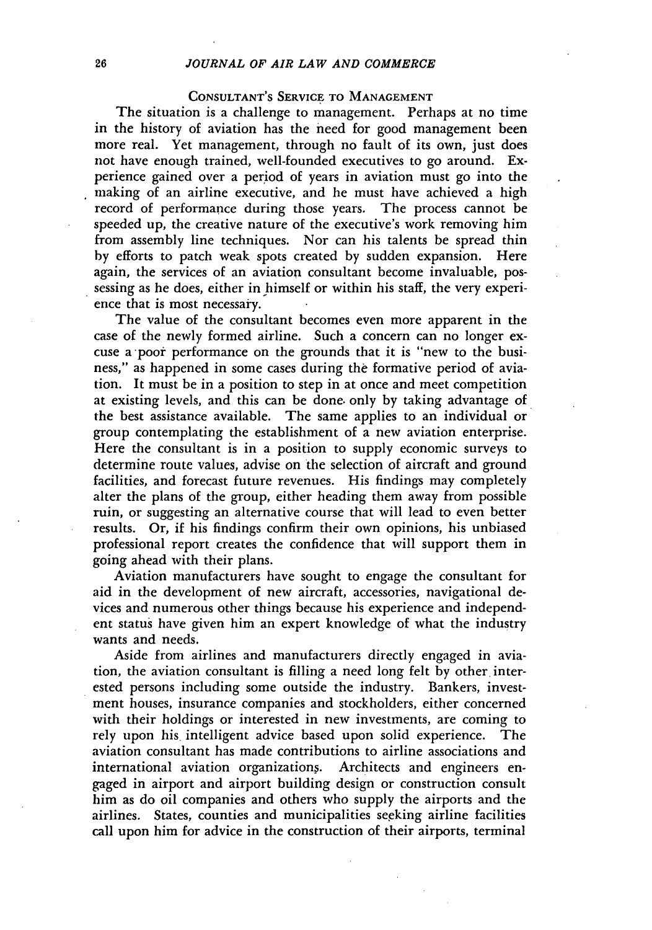### CONSULTANT'S SERVICE TO MANAGEMENT

The situation is a challenge to management. Perhaps at no time in the history of aviation has the need for good management been more real. Yet management, through no fault of its own, just does not have enough trained, well-founded executives to go around. Experience gained over a period of years in aviation must go into the making of an airline executive, and he must have achieved a high record of performance during those years. The process cannot be speeded up, the creative nature of the executive's work removing him from assembly line techniques. Nor can his talents be spread thin by efforts to patch weak spots created by sudden expansion. Here again, the services of an aviation consultant become invaluable, possessing as he does, either in himself or within his staff, the very experience that is most necessary.

The value of the consultant becomes even more apparent in the case of the newly formed airline. Such a concern can no longer excuse a poor performance on the grounds that it is "new to the business," as happened in some cases during the formative period of aviation. It must be in a position to step in at once and meet competition at existing levels, and this can be done. only by taking advantage of the best assistance available. The same applies to an individual or group contemplating the establishment of a new aviation enterprise. Here the consultant is in a position to supply economic surveys to determine route values, advise on the selection of aircraft and ground facilities, and forecast future revenues. His findings may completely alter the plans of the group, either heading them away from possible ruin, or suggesting an alternative course that will lead to even better results. Or, if his findings confirm their own opinions, his unbiased professional report creates the confidence that will support them in going ahead with their plans.

Aviation manufacturers have sought to engage the consultant for aid in the development of new aircraft, accessories, navigational devices and numerous other things because his experience and independent status have given him an expert knowledge of what the industry wants and needs.

Aside from airlines and manufacturers directly engaged in aviation, the aviation consultant is filling a need long felt by other interested persons including some outside the industry. Bankers, investment houses, insurance companies and stockholders, either concerned with their holdings or interested in new investments, are coming to rely upon his. intelligent advice based upon solid experience. The aviation consultant has made contributions to airline associations and international aviation organization§. Architects and engineers engaged in airport and airport building design or construction consult him as do oil companies and others who supply the airports and the airlines. States, counties and municipalities seeking airline facilities call upon him for advice in the construction of their airports, terminal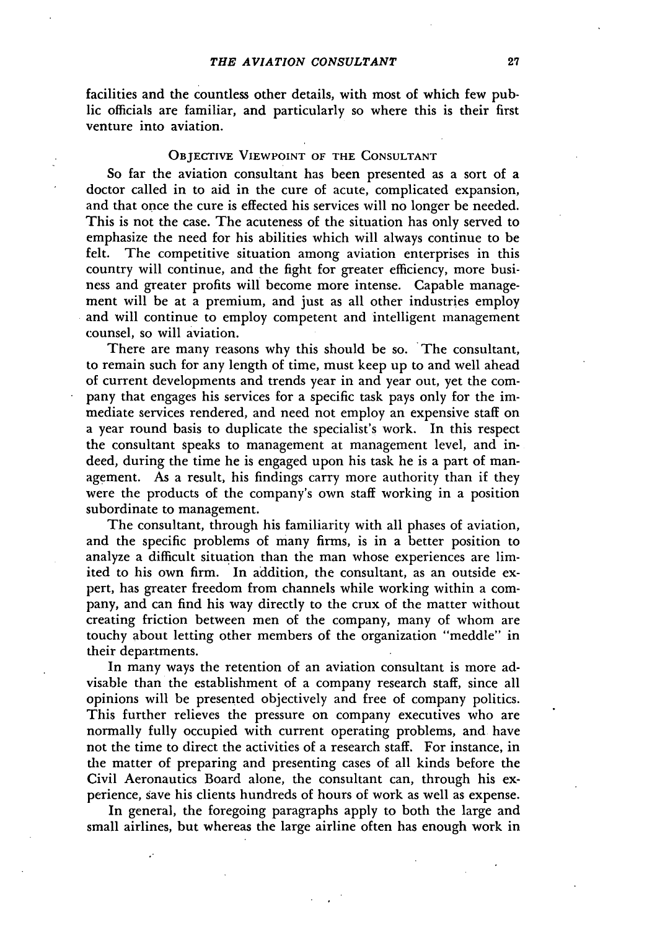facilities and the countless other details, with most of which few public officials are familiar, and particularly so where this is their first venture into aviation.

### OBJECTIVE **VIEWPOINT** OF **THE CONSULTANT**

So far the aviation consultant has been presented as a sort of a doctor called in to aid in the cure of acute, complicated expansion, and that once the cure is effected his services will no longer be needed. This is not the case. The acuteness of the situation has only served to emphasize the need for his abilities which will always continue to be felt. The competitive situation among aviation enterprises in this country will continue, and the fight for greater efficiency, more business and greater profits will become more intense. Capable management will be at a premium, and just as all other industries employ and will continue to employ competent and intelligent management counsel, so will aviation.

There are many reasons why this should be so. The consultant, to remain such for any length of time, must keep up to and well ahead of current developments and trends year in and year out, yet the company that engages his services for a specific task pays only for the immediate services rendered, and need not employ an expensive staff on a year round basis to duplicate the specialist's work. In this respect the consultant speaks to management at management level, and indeed, during the time he is engaged upon his task he is a part of management. As a result, his findings carry more authority than if they were the products of the company's own staff working in a position subordinate to management.

The consultant, through his familiarity with all phases of aviation, and the specific problems of many firms, is in a better position to analyze a difficult situation than the man whose experiences are limited to his own firm. In addition, the consultant, as an outside expert, has greater freedom from channels while working within a company, and can find his way directly to the crux of the matter without creating friction between men of the company, many of whom are touchy about letting other members of the organization "meddle" in their departments.

In many ways the retention of an aviation consultant is more advisable than the establishment of a company research staff, since all opinions will be presented objectively and free of company politics. This further relieves the pressure on company executives who are normally fully occupied with current operating problems, and have not the time to direct the activities of a research staff. For instance, in the matter of preparing and presenting cases of all kinds before the Civil Aeronautics Board alone, the consultant can, through his experience, save his clients hundreds of hours of work as well as expense.

In general, the foregoing paragraphs apply to both the large and small airlines, but whereas the large airline often has enough work in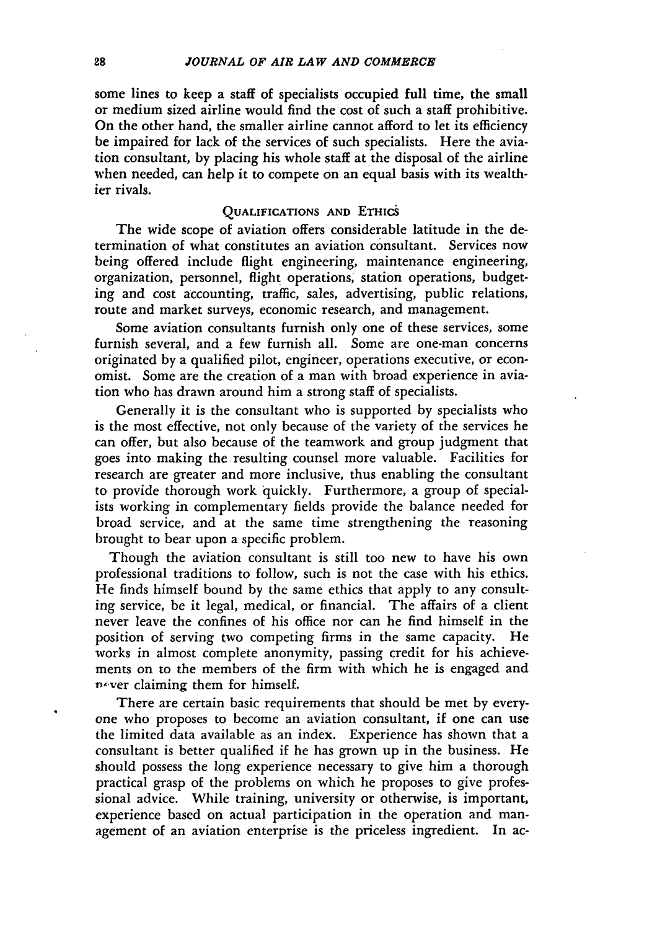some lines to keep a staff of specialists occupied full time, the small or medium sized airline would find the cost of such a staff prohibitive. On the other hand, the smaller airline cannot afford to let its efficiency be impaired for lack of the services of such specialists. Here the aviation consultant, by placing his whole staff at the disposal of the airline when needed, can help it to compete on an equal basis with its wealthier rivals.

### **QUALIFICATIONS AND ETHICS**

The wide scope of aviation offers considerable latitude in the determination of what constitutes an aviation consultant. Services now being offered include flight engineering, maintenance engineering, organization, personnel, flight operations; station operations, budgeting and cost accounting, traffic, sales, advertising, public relations, route and market surveys, economic research, and management.

Some aviation consultants furnish only one of these services, some furnish several, and a few furnish all. Some are one-man concerns originated **by** a qualified pilot, engineer, operations executive, or economist. Some are the creation of a man with broad experience in aviation who has drawn around him a strong staff of specialists.

Generally it is the consultant who is supported **by** specialists who is the most effective, not only because of the variety of the services he can offer, but also because of the teamwork and group judgment that goes into making the resulting counsel more valuable. Facilities for research are greater and more inclusive, thus enabling the consultant to provide thorough work quickly. Furthermore, a group of specialists working in complementary fields provide the balance needed for broad service, and at the same time strengthening the reasoning brought to bear upon a specific problem.

Though the aviation consultant is still too new to have his own professional traditions to follow, such is not the case with his ethics. **He** finds himself bound **by** the same ethics that apply to any consulting service, be it legal, medical, or financial. The affairs of a client never leave the confines of his office nor can he find himself in the position of serving two competing firms in the same capacity. He works in almost complete anonymity, passing credit for his achievements on to the members of the firm with which he is engaged and P-ver claiming them for himself.

There are certain basic requirements that should be met **by** everyone who proposes to become an aviation consultant, if one can use the limited data available as an index. Experience has shown that a consultant is better qualified if he has grown up in the business. He should possess the long experience necessary to give him a thorough practical grasp of the problems on which he proposes to give professional advice. While training, university or otherwise, is important, experience based on actual participation in the operation and management of an aviation enterprise is the priceless ingredient. In ac